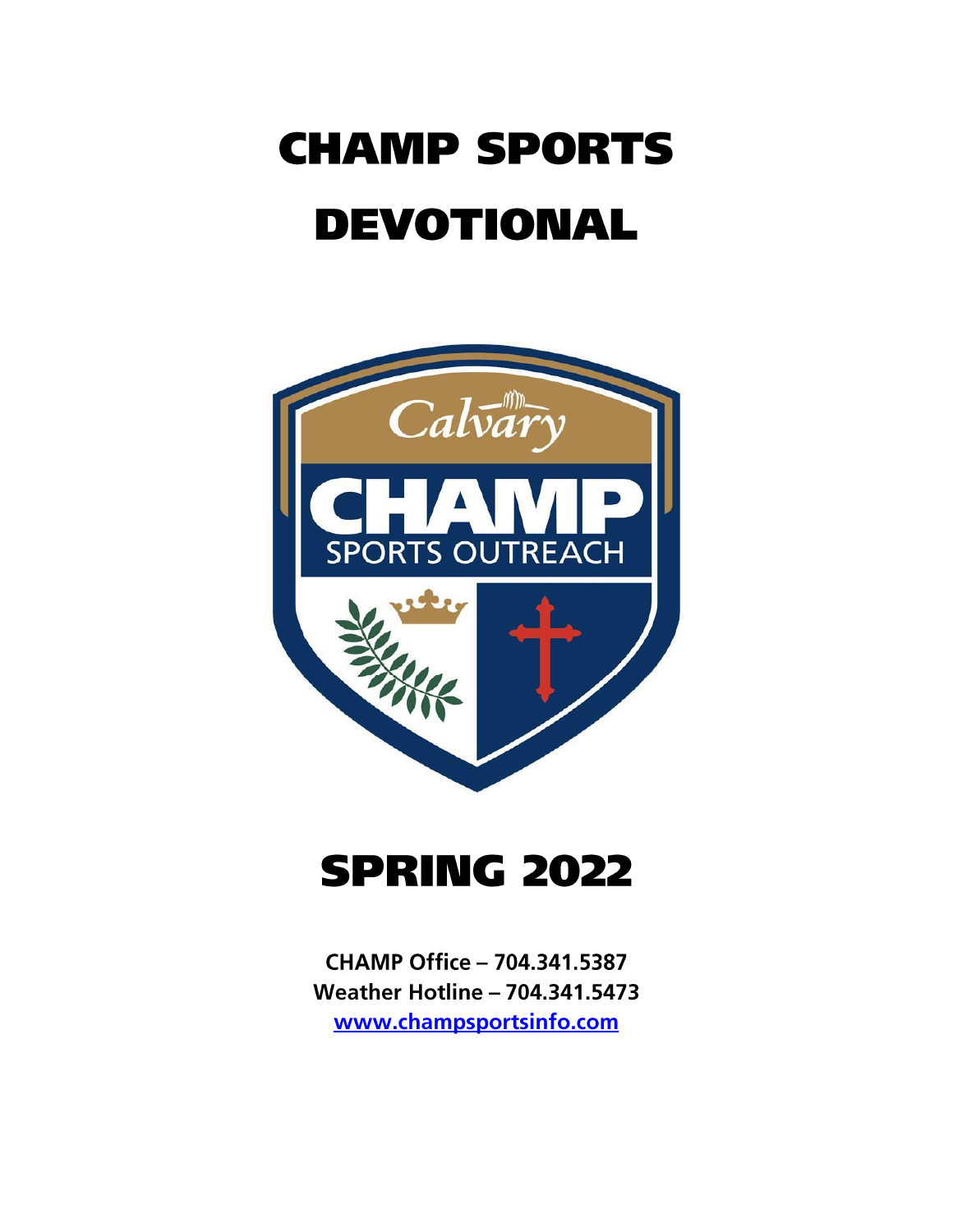# **CHAMP SPORTS DEVOTIONAL**



## **SPRING 2022**

**CHAMP Office - 704.341.5387 Weather Hotline - 704.341.5473** www.champsportsinfo.com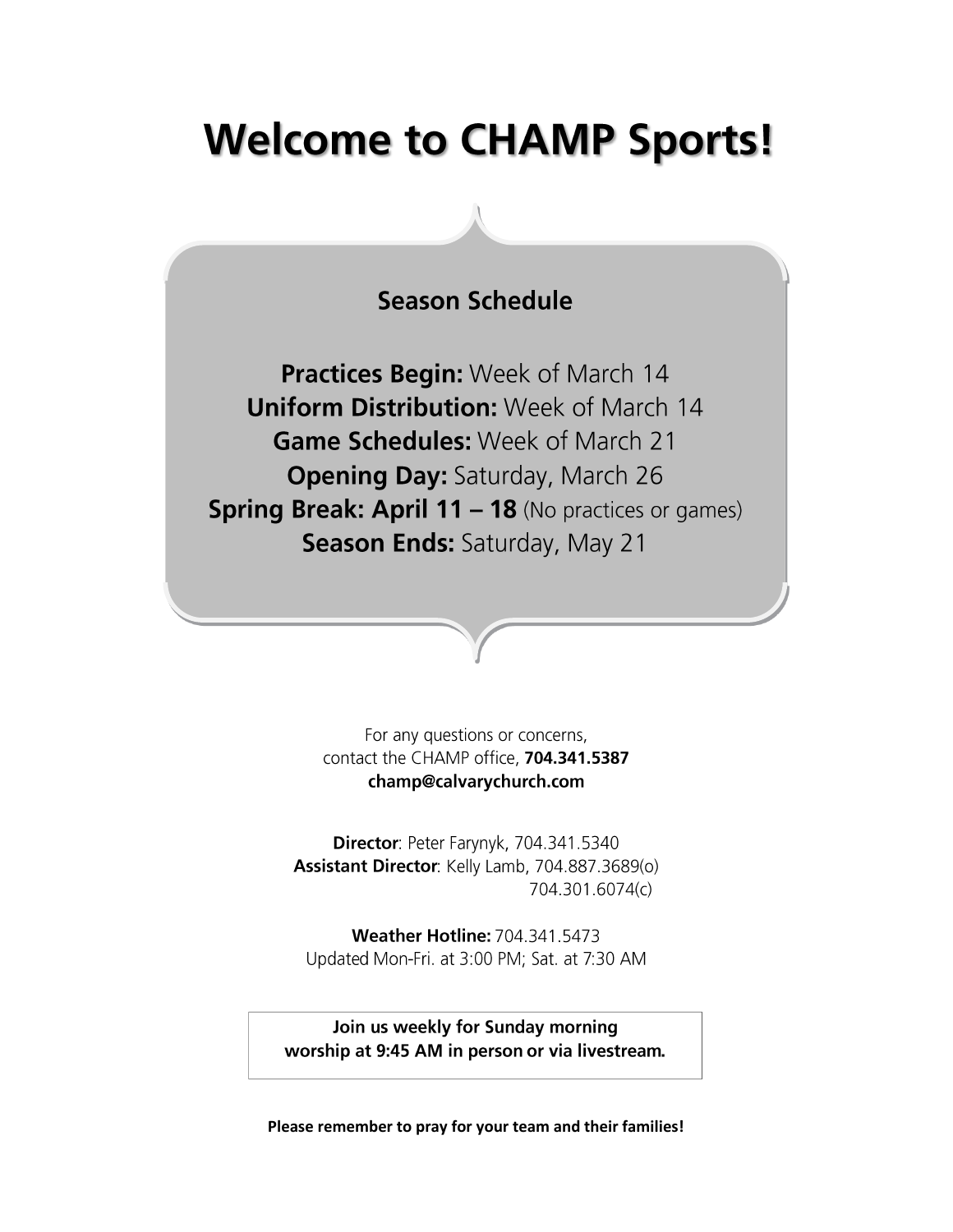## **Welcome to CHAMP Sports!**

### **Season Schedule**

Practices Begin: Week of March 14 **Uniform Distribution: Week of March 14** Game Schedules: Week of March 21 **Opening Day: Saturday, March 26 Spring Break: April 11 - 18 (No practices or games)** Season Ends: Saturday, May 21

> For any questions or concerns, contact the CHAMP office, 704.341.5387 champ@calvarychurch.com

Director: Peter Farynyk, 704.341.5340 Assistant Director: Kelly Lamb, 704.887.3689(o) 704.301.6074(c)

**Weather Hotline: 704.341.5473** Updated Mon-Fri. at 3:00 PM; Sat. at 7:30 AM

Join us weekly for Sunday morning worship at 9:45 AM in person or via livestream.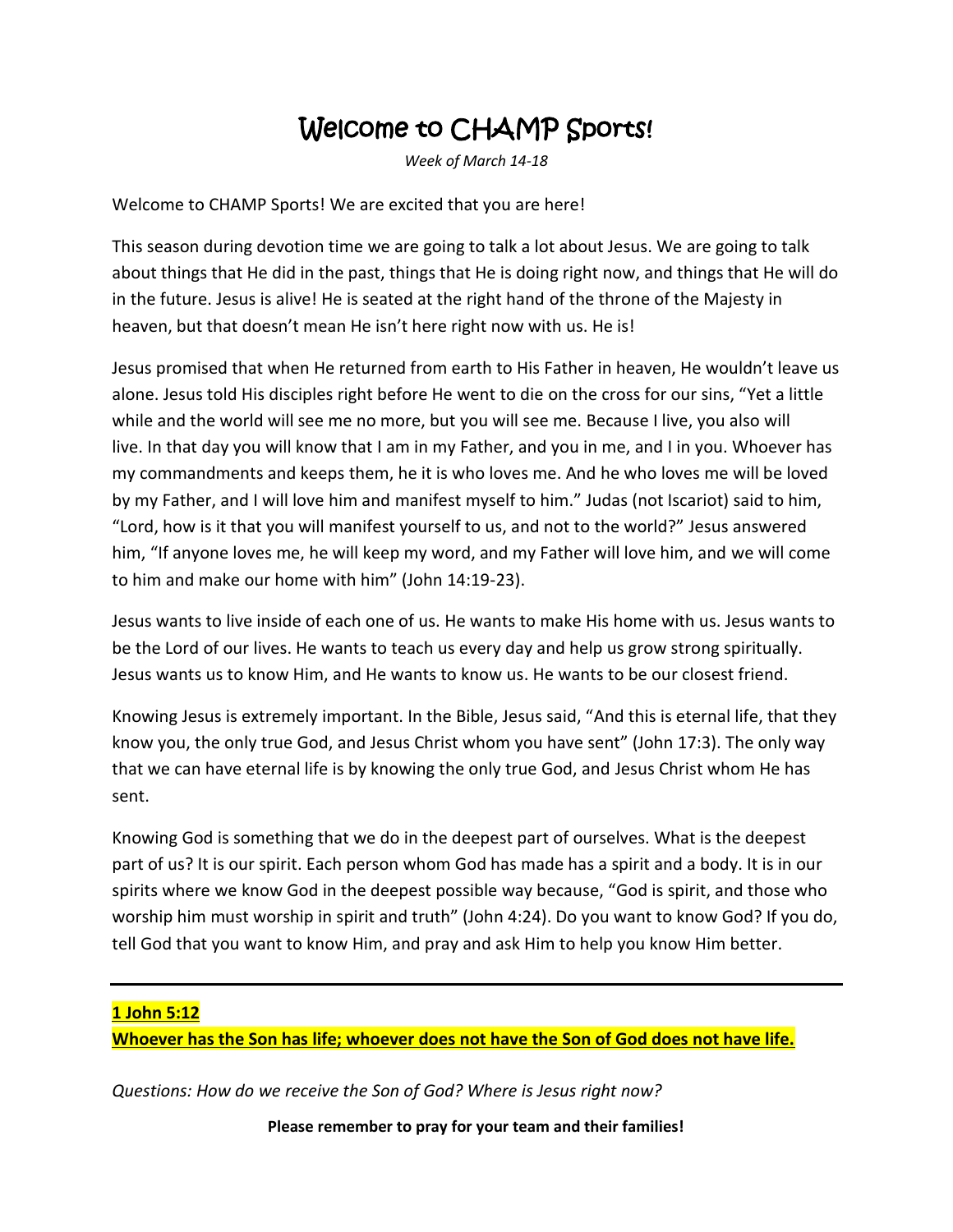### Welcome to CHAMP Sports!

*Week of March 14-18*

Welcome to CHAMP Sports! We are excited that you are here!

This season during devotion time we are going to talk a lot about Jesus. We are going to talk about things that He did in the past, things that He is doing right now, and things that He will do in the future. Jesus is alive! He is seated at the right hand of the throne of the Majesty in heaven, but that doesn't mean He isn't here right now with us. He is!

Jesus promised that when He returned from earth to His Father in heaven, He wouldn't leave us alone. Jesus told His disciples right before He went to die on the cross for our sins, "Yet a little while and the world will see me no more, but you will see me. Because I live, you also will live. In that day you will know that I am in my Father, and you in me, and I in you. Whoever has my commandments and keeps them, he it is who loves me. And he who loves me will be loved by my Father, and I will love him and manifest myself to him." Judas (not Iscariot) said to him, "Lord, how is it that you will manifest yourself to us, and not to the world?" Jesus answered him, "If anyone loves me, he will keep my word, and my Father will love him, and we will come to him and make our home with him" (John 14:19-23).

Jesus wants to live inside of each one of us. He wants to make His home with us. Jesus wants to be the Lord of our lives. He wants to teach us every day and help us grow strong spiritually. Jesus wants us to know Him, and He wants to know us. He wants to be our closest friend.

Knowing Jesus is extremely important. In the Bible, Jesus said, "And this is eternal life, that they know you, the only true God, and Jesus Christ whom you have sent" (John 17:3). The only way that we can have eternal life is by knowing the only true God, and Jesus Christ whom He has sent.

Knowing God is something that we do in the deepest part of ourselves. What is the deepest part of us? It is our spirit. Each person whom God has made has a spirit and a body. It is in our spirits where we know God in the deepest possible way because, "God is spirit, and those who worship him must worship in spirit and truth" (John 4:24). Do you want to know God? If you do, tell God that you want to know Him, and pray and ask Him to help you know Him better.

#### **1 John 5:12**

**Whoever has the Son has life; whoever does not have the Son of God does not have life.**

*Questions: How do we receive the Son of God? Where is Jesus right now?*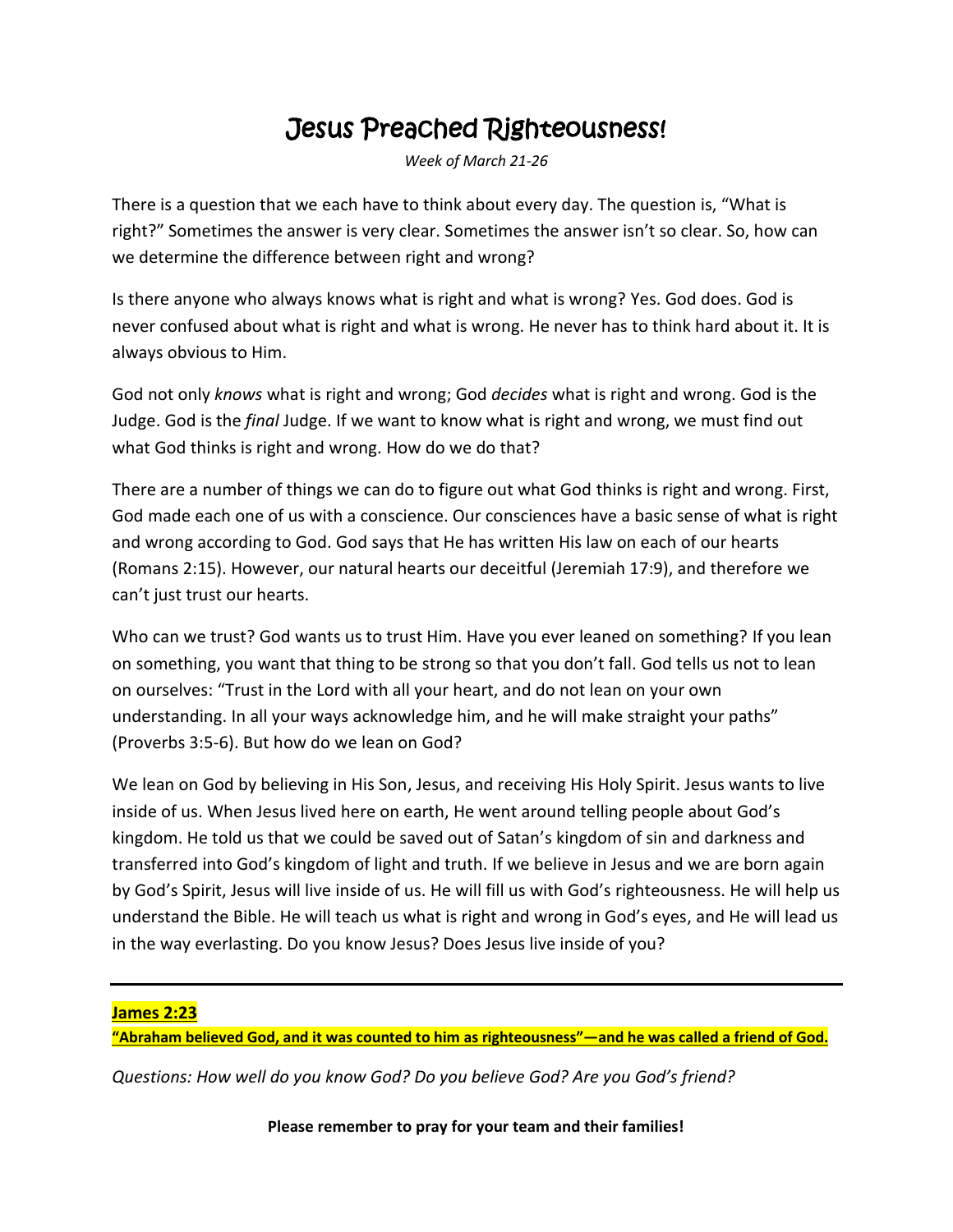### Jesus Preached Righteousness!

*Week of March 21-26*

There is a question that we each have to think about every day. The question is, "What is right?" Sometimes the answer is very clear. Sometimes the answer isn't so clear. So, how can we determine the difference between right and wrong?

Is there anyone who always knows what is right and what is wrong? Yes. God does. God is never confused about what is right and what is wrong. He never has to think hard about it. It is always obvious to Him.

God not only *knows* what is right and wrong; God *decides* what is right and wrong. God is the Judge. God is the *final* Judge. If we want to know what is right and wrong, we must find out what God thinks is right and wrong. How do we do that?

There are a number of things we can do to figure out what God thinks is right and wrong. First, God made each one of us with a conscience. Our consciences have a basic sense of what is right and wrong according to God. God says that He has written His law on each of our hearts (Romans 2:15). However, our natural hearts our deceitful (Jeremiah 17:9), and therefore we can't just trust our hearts.

Who can we trust? God wants us to trust Him. Have you ever leaned on something? If you lean on something, you want that thing to be strong so that you don't fall. God tells us not to lean on ourselves: "Trust in the Lord with all your heart, and do not lean on your own understanding. In all your ways acknowledge him, and he will make straight your paths" (Proverbs 3:5-6). But how do we lean on God?

We lean on God by believing in His Son, Jesus, and receiving His Holy Spirit. Jesus wants to live inside of us. When Jesus lived here on earth, He went around telling people about God's kingdom. He told us that we could be saved out of Satan's kingdom of sin and darkness and transferred into God's kingdom of light and truth. If we believe in Jesus and we are born again by God's Spirit, Jesus will live inside of us. He will fill us with God's righteousness. He will help us understand the Bible. He will teach us what is right and wrong in God's eyes, and He will lead us in the way everlasting. Do you know Jesus? Does Jesus live inside of you?

#### **James 2:23**

**"Abraham believed God, and it was counted to him as righteousness"—and he was called a friend of God.**

*Questions: How well do you know God? Do you believe God? Are you God's friend?*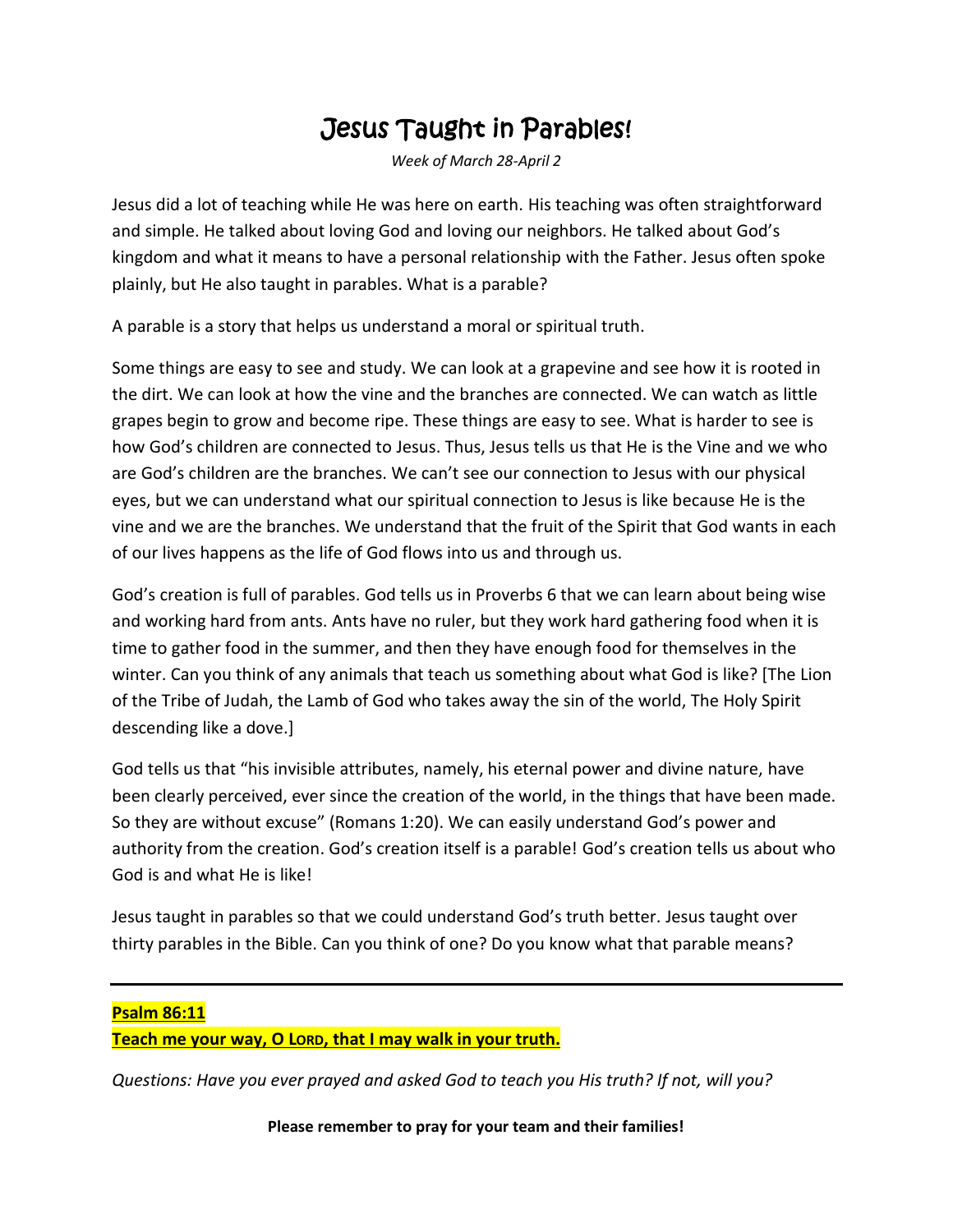### Jesus Taught in Parables!

*Week of March 28-April 2*

Jesus did a lot of teaching while He was here on earth. His teaching was often straightforward and simple. He talked about loving God and loving our neighbors. He talked about God's kingdom and what it means to have a personal relationship with the Father. Jesus often spoke plainly, but He also taught in parables. What is a parable?

A parable is a story that helps us understand a moral or spiritual truth.

Some things are easy to see and study. We can look at a grapevine and see how it is rooted in the dirt. We can look at how the vine and the branches are connected. We can watch as little grapes begin to grow and become ripe. These things are easy to see. What is harder to see is how God's children are connected to Jesus. Thus, Jesus tells us that He is the Vine and we who are God's children are the branches. We can't see our connection to Jesus with our physical eyes, but we can understand what our spiritual connection to Jesus is like because He is the vine and we are the branches. We understand that the fruit of the Spirit that God wants in each of our lives happens as the life of God flows into us and through us.

God's creation is full of parables. God tells us in Proverbs 6 that we can learn about being wise and working hard from ants. Ants have no ruler, but they work hard gathering food when it is time to gather food in the summer, and then they have enough food for themselves in the winter. Can you think of any animals that teach us something about what God is like? [The Lion of the Tribe of Judah, the Lamb of God who takes away the sin of the world, The Holy Spirit descending like a dove.]

God tells us that "his invisible attributes, namely, his eternal power and divine nature, have been clearly perceived, ever since the creation of the world, in the things that have been made. So they are without excuse" (Romans 1:20). We can easily understand God's power and authority from the creation. God's creation itself is a parable! God's creation tells us about who God is and what He is like!

Jesus taught in parables so that we could understand God's truth better. Jesus taught over thirty parables in the Bible. Can you think of one? Do you know what that parable means?

### **Psalm 86:11 Teach me your way, O LORD, that I may walk in your truth.**

*Questions: Have you ever prayed and asked God to teach you His truth? If not, will you?*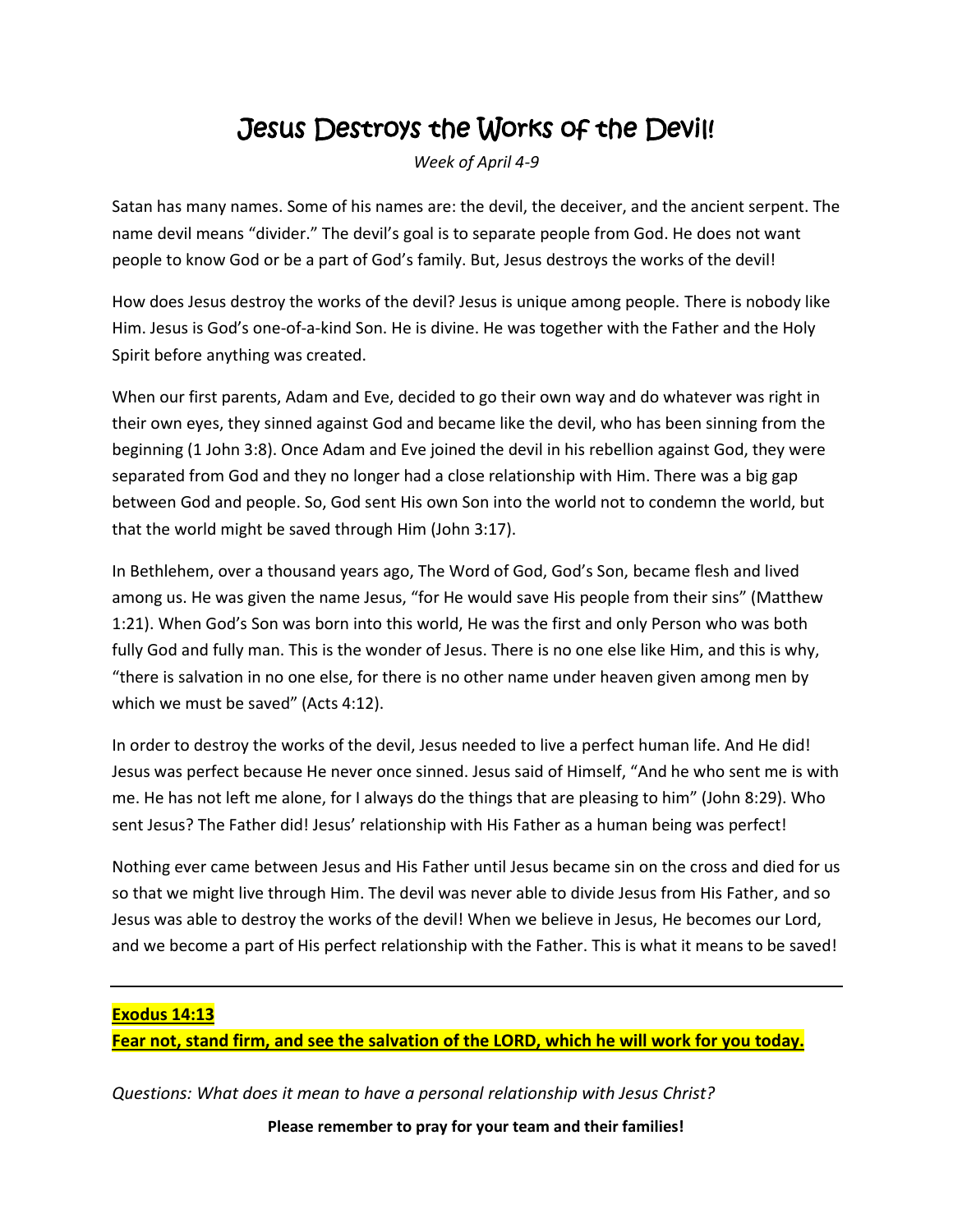### Jesus Destroys the Works of the Devil!

*Week of April 4-9*

Satan has many names. Some of his names are: the devil, the deceiver, and the ancient serpent. The name devil means "divider." The devil's goal is to separate people from God. He does not want people to know God or be a part of God's family. But, Jesus destroys the works of the devil!

How does Jesus destroy the works of the devil? Jesus is unique among people. There is nobody like Him. Jesus is God's one-of-a-kind Son. He is divine. He was together with the Father and the Holy Spirit before anything was created.

When our first parents, Adam and Eve, decided to go their own way and do whatever was right in their own eyes, they sinned against God and became like the devil, who has been sinning from the beginning (1 John 3:8). Once Adam and Eve joined the devil in his rebellion against God, they were separated from God and they no longer had a close relationship with Him. There was a big gap between God and people. So, God sent His own Son into the world not to condemn the world, but that the world might be saved through Him (John 3:17).

In Bethlehem, over a thousand years ago, The Word of God, God's Son, became flesh and lived among us. He was given the name Jesus, "for He would save His people from their sins" (Matthew 1:21). When God's Son was born into this world, He was the first and only Person who was both fully God and fully man. This is the wonder of Jesus. There is no one else like Him, and this is why, "there is salvation in no one else, for there is no other name under heaven given among men by which we must be saved" (Acts 4:12).

In order to destroy the works of the devil, Jesus needed to live a perfect human life. And He did! Jesus was perfect because He never once sinned. Jesus said of Himself, "And he who sent me is with me. He has not left me alone, for I always do the things that are pleasing to him" (John 8:29). Who sent Jesus? The Father did! Jesus' relationship with His Father as a human being was perfect!

Nothing ever came between Jesus and His Father until Jesus became sin on the cross and died for us so that we might live through Him. The devil was never able to divide Jesus from His Father, and so Jesus was able to destroy the works of the devil! When we believe in Jesus, He becomes our Lord, and we become a part of His perfect relationship with the Father. This is what it means to be saved!

#### **Exodus 14:13**

**Fear not, stand firm, and see the salvation of the LORD, which he will work for you today.**

*Questions: What does it mean to have a personal relationship with Jesus Christ?*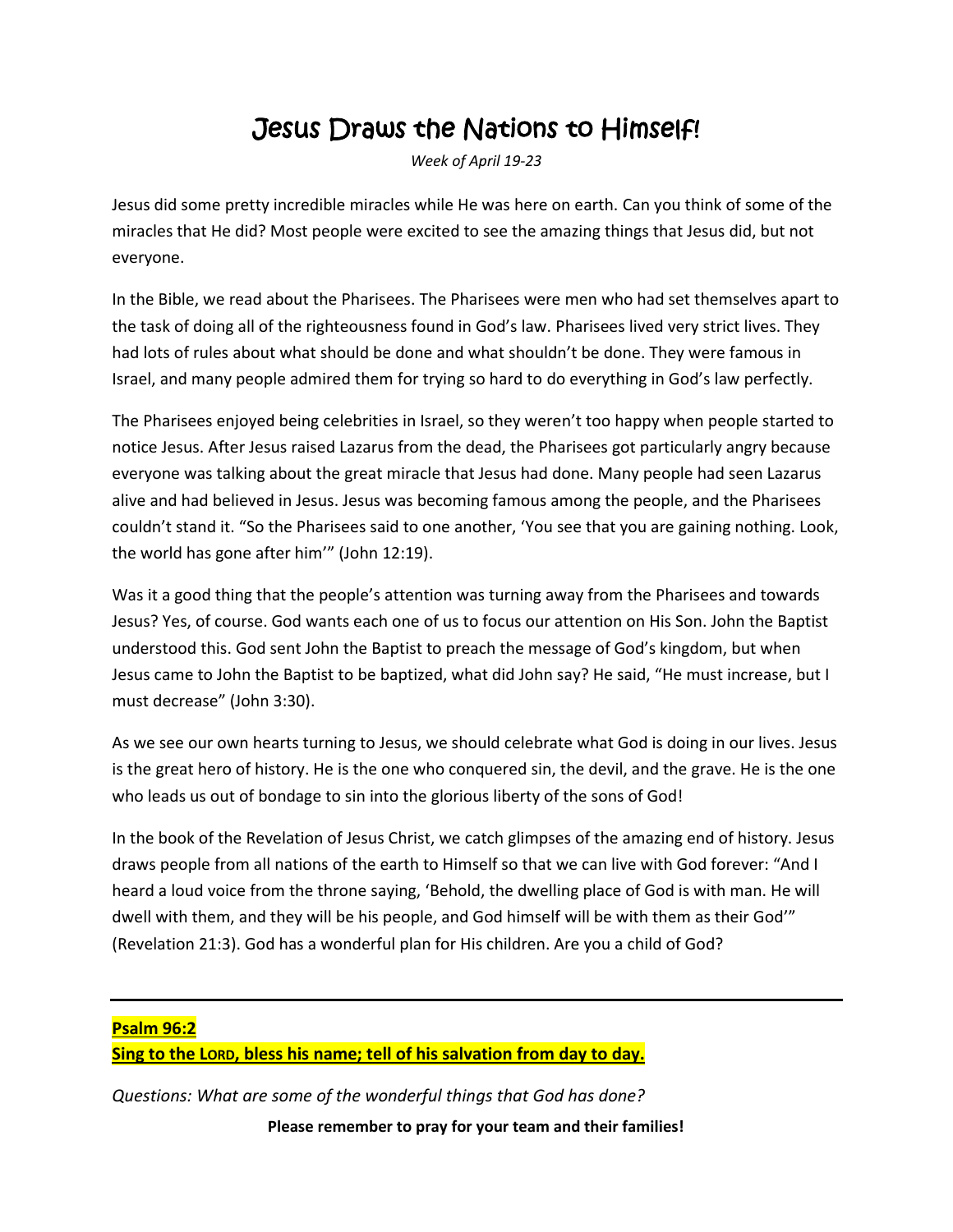### Jesus Draws the Nations to Himself!

*Week of April 19-23*

Jesus did some pretty incredible miracles while He was here on earth. Can you think of some of the miracles that He did? Most people were excited to see the amazing things that Jesus did, but not everyone.

In the Bible, we read about the Pharisees. The Pharisees were men who had set themselves apart to the task of doing all of the righteousness found in God's law. Pharisees lived very strict lives. They had lots of rules about what should be done and what shouldn't be done. They were famous in Israel, and many people admired them for trying so hard to do everything in God's law perfectly.

The Pharisees enjoyed being celebrities in Israel, so they weren't too happy when people started to notice Jesus. After Jesus raised Lazarus from the dead, the Pharisees got particularly angry because everyone was talking about the great miracle that Jesus had done. Many people had seen Lazarus alive and had believed in Jesus. Jesus was becoming famous among the people, and the Pharisees couldn't stand it. "So the Pharisees said to one another, 'You see that you are gaining nothing. Look, the world has gone after him'" (John 12:19).

Was it a good thing that the people's attention was turning away from the Pharisees and towards Jesus? Yes, of course. God wants each one of us to focus our attention on His Son. John the Baptist understood this. God sent John the Baptist to preach the message of God's kingdom, but when Jesus came to John the Baptist to be baptized, what did John say? He said, "He must increase, but I must decrease" (John 3:30).

As we see our own hearts turning to Jesus, we should celebrate what God is doing in our lives. Jesus is the great hero of history. He is the one who conquered sin, the devil, and the grave. He is the one who leads us out of bondage to sin into the glorious liberty of the sons of God!

In the book of the Revelation of Jesus Christ, we catch glimpses of the amazing end of history. Jesus draws people from all nations of the earth to Himself so that we can live with God forever: "And I heard a loud voice from the throne saying, 'Behold, the dwelling place of God is with man. He will dwell with them, and they will be his people, and God himself will be with them as their God'" (Revelation 21:3). God has a wonderful plan for His children. Are you a child of God?

#### **Psalm 96:2**

**Sing to the LORD, bless his name; tell of his salvation from day to day.**

**Please remember to pray for your team and their families!** *Questions: What are some of the wonderful things that God has done?*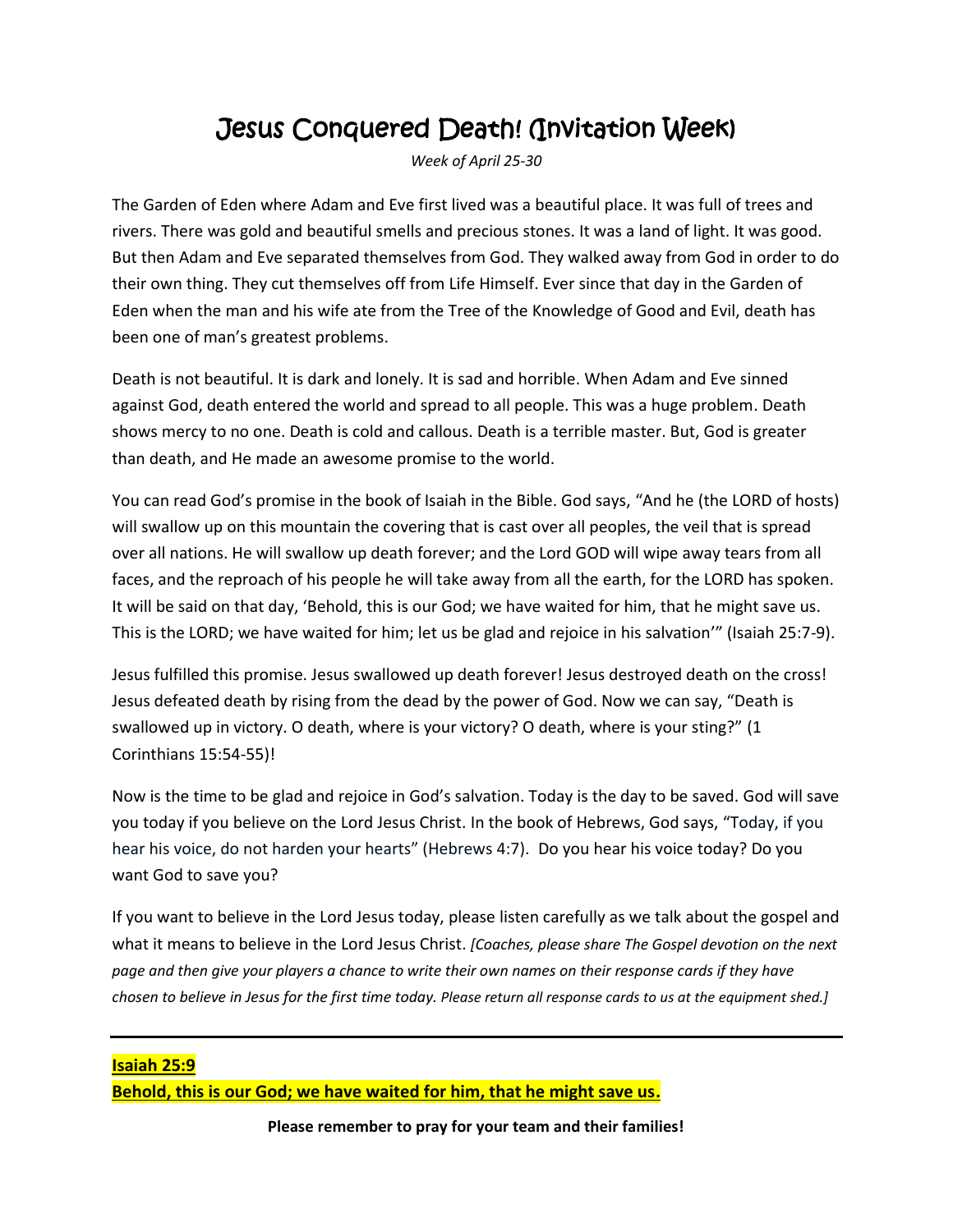### Jesus Conquered Death! (Invitation Week)

*Week of April 25-30*

The Garden of Eden where Adam and Eve first lived was a beautiful place. It was full of trees and rivers. There was gold and beautiful smells and precious stones. It was a land of light. It was good. But then Adam and Eve separated themselves from God. They walked away from God in order to do their own thing. They cut themselves off from Life Himself. Ever since that day in the Garden of Eden when the man and his wife ate from the Tree of the Knowledge of Good and Evil, death has been one of man's greatest problems.

Death is not beautiful. It is dark and lonely. It is sad and horrible. When Adam and Eve sinned against God, death entered the world and spread to all people. This was a huge problem. Death shows mercy to no one. Death is cold and callous. Death is a terrible master. But, God is greater than death, and He made an awesome promise to the world.

You can read God's promise in the book of Isaiah in the Bible. God says, "And he (the LORD of hosts) will swallow up on this mountain the covering that is cast over all peoples, the veil that is spread over all nations. He will swallow up death forever; and the Lord GOD will wipe away tears from all faces, and the reproach of his people he will take away from all the earth, for the LORD has spoken. It will be said on that day, 'Behold, this is our God; we have waited for him, that he might save us. This is the LORD; we have waited for him; let us be glad and rejoice in his salvation'" (Isaiah 25:7-9).

Jesus fulfilled this promise. Jesus swallowed up death forever! Jesus destroyed death on the cross! Jesus defeated death by rising from the dead by the power of God. Now we can say, "Death is swallowed up in victory. O death, where is your victory? O death, where is your sting?" (1 Corinthians 15:54-55)!

Now is the time to be glad and rejoice in God's salvation. Today is the day to be saved. God will save you today if you believe on the Lord Jesus Christ. In the book of Hebrews, God says, "Today, if you hear his voice, do not harden your hearts" (Hebrews 4:7). Do you hear his voice today? Do you want God to save you?

If you want to believe in the Lord Jesus today, please listen carefully as we talk about the gospel and what it means to believe in the Lord Jesus Christ. *[Coaches, please share The Gospel devotion on the next page and then give your players a chance to write their own names on their response cards if they have chosen to believe in Jesus for the first time today. Please return all response cards to us at the equipment shed.]*

**Isaiah 25:9 Behold, this is our God; we have waited for him, that he might save us.**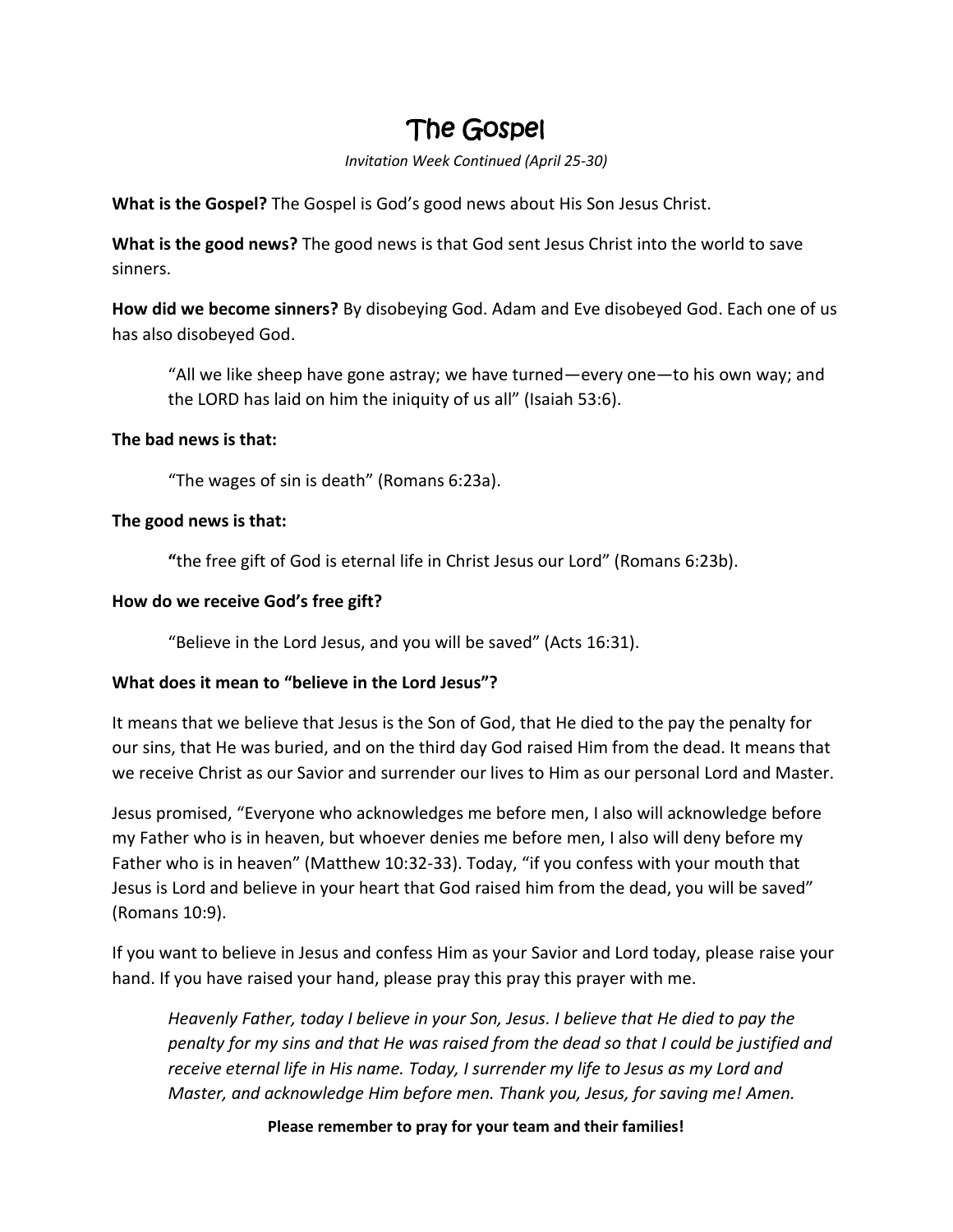### The Gospel

*Invitation Week Continued (April 25-30)*

**What is the Gospel?** The Gospel is God's good news about His Son Jesus Christ.

**What is the good news?** The good news is that God sent Jesus Christ into the world to save sinners.

**How did we become sinners?** By disobeying God. Adam and Eve disobeyed God. Each one of us has also disobeyed God.

"All we like sheep have gone astray; we have turned—every one—to his own way; and the LORD has laid on him the iniquity of us all" (Isaiah 53:6).

#### **The bad news is that:**

"The wages of sin is death" (Romans 6:23a).

#### **The good news is that:**

**"**the free gift of God is eternal life in Christ Jesus our Lord" (Romans 6:23b).

#### **How do we receive God's free gift?**

"Believe in the Lord Jesus, and you will be saved" (Acts 16:31).

#### **What does it mean to "believe in the Lord Jesus"?**

It means that we believe that Jesus is the Son of God, that He died to the pay the penalty for our sins, that He was buried, and on the third day God raised Him from the dead. It means that we receive Christ as our Savior and surrender our lives to Him as our personal Lord and Master.

Jesus promised, "Everyone who acknowledges me before men, I also will acknowledge before my Father who is in heaven, but whoever denies me before men, I also will deny before my Father who is in heaven" (Matthew 10:32-33). Today, "if you confess with your mouth that Jesus is Lord and believe in your heart that God raised him from the dead, you will be saved" (Romans 10:9).

If you want to believe in Jesus and confess Him as your Savior and Lord today, please raise your hand. If you have raised your hand, please pray this pray this prayer with me.

*Heavenly Father, today I believe in your Son, Jesus. I believe that He died to pay the penalty for my sins and that He was raised from the dead so that I could be justified and receive eternal life in His name. Today, I surrender my life to Jesus as my Lord and Master, and acknowledge Him before men. Thank you, Jesus, for saving me! Amen.*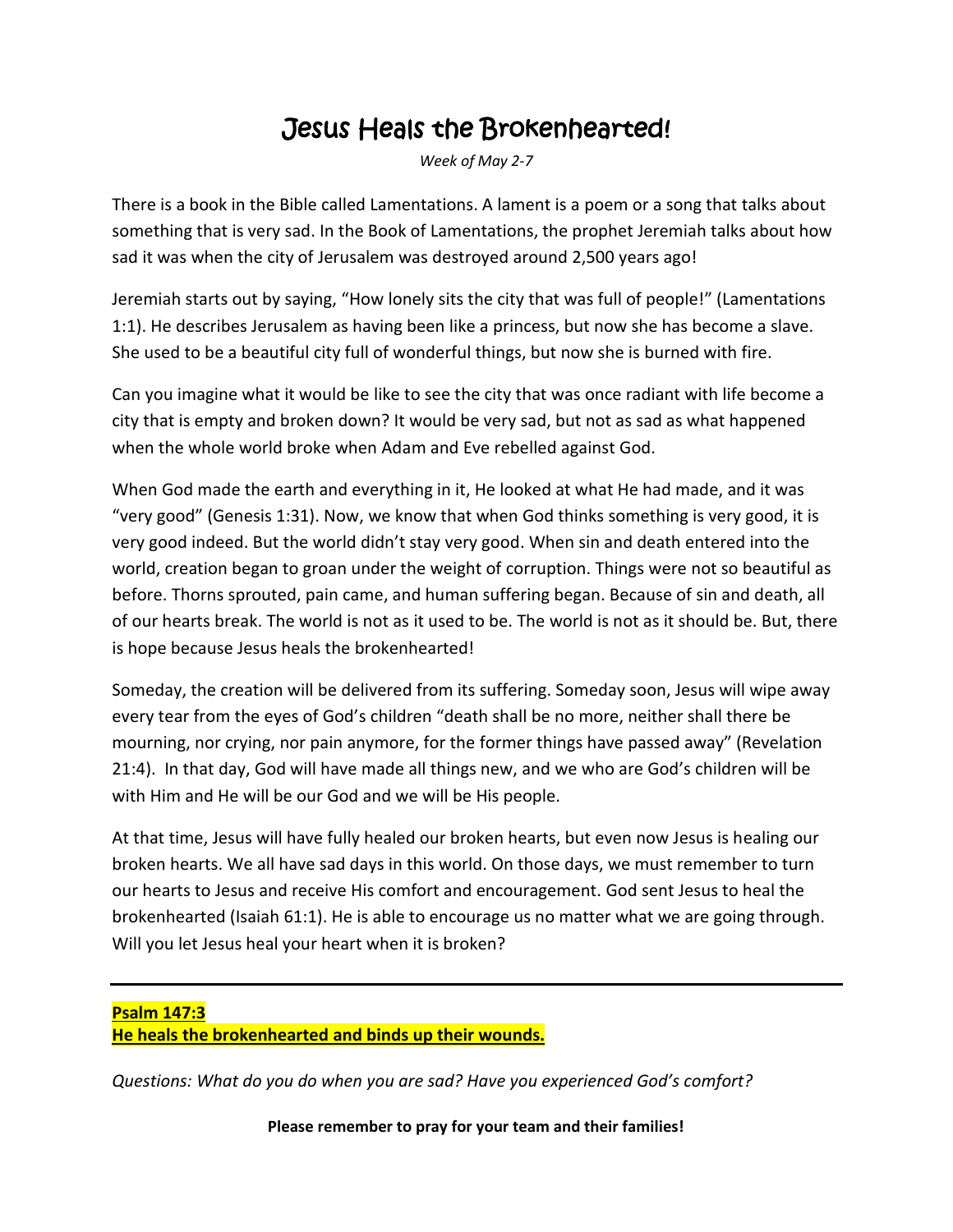### Jesus Heals the Brokenhearted!

*Week of May 2-7*

There is a book in the Bible called Lamentations. A lament is a poem or a song that talks about something that is very sad. In the Book of Lamentations, the prophet Jeremiah talks about how sad it was when the city of Jerusalem was destroyed around 2,500 years ago!

Jeremiah starts out by saying, "How lonely sits the city that was full of people!" (Lamentations 1:1). He describes Jerusalem as having been like a princess, but now she has become a slave. She used to be a beautiful city full of wonderful things, but now she is burned with fire.

Can you imagine what it would be like to see the city that was once radiant with life become a city that is empty and broken down? It would be very sad, but not as sad as what happened when the whole world broke when Adam and Eve rebelled against God.

When God made the earth and everything in it, He looked at what He had made, and it was "very good" (Genesis 1:31). Now, we know that when God thinks something is very good, it is very good indeed. But the world didn't stay very good. When sin and death entered into the world, creation began to groan under the weight of corruption. Things were not so beautiful as before. Thorns sprouted, pain came, and human suffering began. Because of sin and death, all of our hearts break. The world is not as it used to be. The world is not as it should be. But, there is hope because Jesus heals the brokenhearted!

Someday, the creation will be delivered from its suffering. Someday soon, Jesus will wipe away every tear from the eyes of God's children "death shall be no more, neither shall there be mourning, nor crying, nor pain anymore, for the former things have passed away" (Revelation 21:4). In that day, God will have made all things new, and we who are God's children will be with Him and He will be our God and we will be His people.

At that time, Jesus will have fully healed our broken hearts, but even now Jesus is healing our broken hearts. We all have sad days in this world. On those days, we must remember to turn our hearts to Jesus and receive His comfort and encouragement. God sent Jesus to heal the brokenhearted (Isaiah 61:1). He is able to encourage us no matter what we are going through. Will you let Jesus heal your heart when it is broken?

#### **Psalm 147:3 He heals the brokenhearted and binds up their wounds.**

*Questions: What do you do when you are sad? Have you experienced God's comfort?*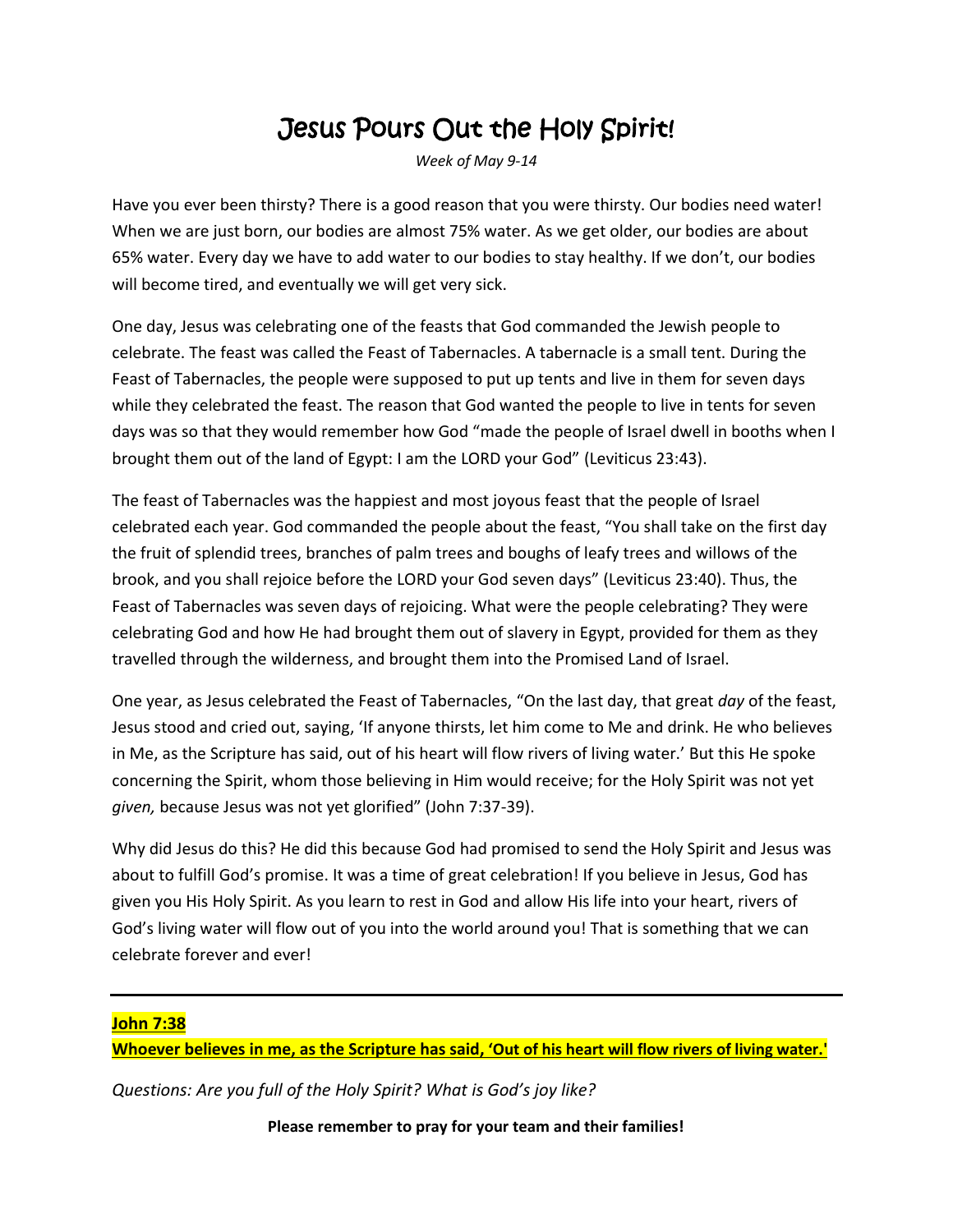### Jesus Pours Out the Holy Spirit!

*Week of May 9-14*

Have you ever been thirsty? There is a good reason that you were thirsty. Our bodies need water! When we are just born, our bodies are almost 75% water. As we get older, our bodies are about 65% water. Every day we have to add water to our bodies to stay healthy. If we don't, our bodies will become tired, and eventually we will get very sick.

One day, Jesus was celebrating one of the feasts that God commanded the Jewish people to celebrate. The feast was called the Feast of Tabernacles. A tabernacle is a small tent. During the Feast of Tabernacles, the people were supposed to put up tents and live in them for seven days while they celebrated the feast. The reason that God wanted the people to live in tents for seven days was so that they would remember how God "made the people of Israel dwell in booths when I brought them out of the land of Egypt: I am the LORD your God" (Leviticus 23:43).

The feast of Tabernacles was the happiest and most joyous feast that the people of Israel celebrated each year. God commanded the people about the feast, "You shall take on the first day the fruit of splendid trees, branches of palm trees and boughs of leafy trees and willows of the brook, and you shall rejoice before the LORD your God seven days" (Leviticus 23:40). Thus, the Feast of Tabernacles was seven days of rejoicing. What were the people celebrating? They were celebrating God and how He had brought them out of slavery in Egypt, provided for them as they travelled through the wilderness, and brought them into the Promised Land of Israel.

One year, as Jesus celebrated the Feast of Tabernacles, "On the last day, that great *day* of the feast, Jesus stood and cried out, saying, 'If anyone thirsts, let him come to Me and drink. He who believes in Me, as the Scripture has said, out of his heart will flow rivers of living water.' But this He spoke concerning the Spirit, whom those believing in Him would receive; for the Holy Spirit was not yet *given,* because Jesus was not yet glorified" (John 7:37-39).

Why did Jesus do this? He did this because God had promised to send the Holy Spirit and Jesus was about to fulfill God's promise. It was a time of great celebration! If you believe in Jesus, God has given you His Holy Spirit. As you learn to rest in God and allow His life into your heart, rivers of God's living water will flow out of you into the world around you! That is something that we can celebrate forever and ever!

#### **John 7:38**

**Whoever believes in me, as the Scripture has said, 'Out of his heart will flow rivers of living water.'**

*Questions: Are you full of the Holy Spirit? What is God's joy like?*